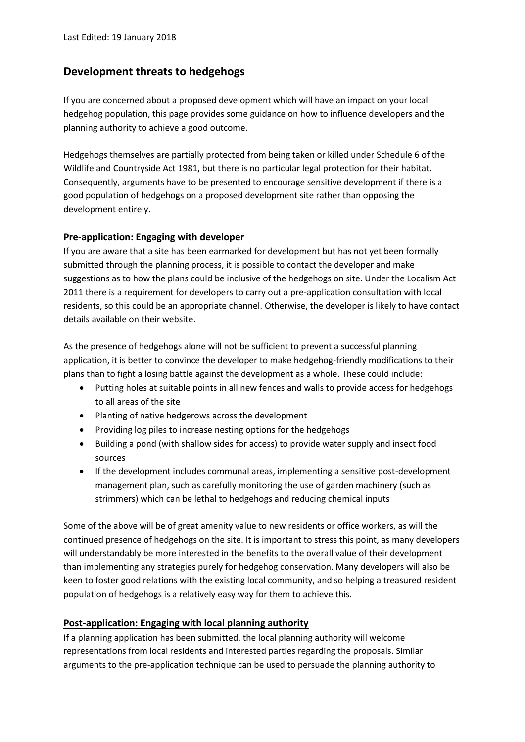## **Development threats to hedgehogs**

If you are concerned about a proposed development which will have an impact on your local hedgehog population, this page provides some guidance on how to influence developers and the planning authority to achieve a good outcome.

Hedgehogs themselves are partially protected from being taken or killed under Schedule 6 of the Wildlife and Countryside Act 1981, but there is no particular legal protection for their habitat. Consequently, arguments have to be presented to encourage sensitive development if there is a good population of hedgehogs on a proposed development site rather than opposing the development entirely.

## **Pre-application: Engaging with developer**

If you are aware that a site has been earmarked for development but has not yet been formally submitted through the planning process, it is possible to contact the developer and make suggestions as to how the plans could be inclusive of the hedgehogs on site. Under the Localism Act 2011 there is a requirement for developers to carry out a pre-application consultation with local residents, so this could be an appropriate channel. Otherwise, the developer is likely to have contact details available on their website.

As the presence of hedgehogs alone will not be sufficient to prevent a successful planning application, it is better to convince the developer to make hedgehog-friendly modifications to their plans than to fight a losing battle against the development as a whole. These could include:

- Putting holes at suitable points in all new fences and walls to provide access for hedgehogs to all areas of the site
- Planting of native hedgerows across the development
- Providing log piles to increase nesting options for the hedgehogs
- Building a pond (with shallow sides for access) to provide water supply and insect food sources
- If the development includes communal areas, implementing a sensitive post-development management plan, such as carefully monitoring the use of garden machinery (such as strimmers) which can be lethal to hedgehogs and reducing chemical inputs

Some of the above will be of great amenity value to new residents or office workers, as will the continued presence of hedgehogs on the site. It is important to stress this point, as many developers will understandably be more interested in the benefits to the overall value of their development than implementing any strategies purely for hedgehog conservation. Many developers will also be keen to foster good relations with the existing local community, and so helping a treasured resident population of hedgehogs is a relatively easy way for them to achieve this.

## **Post-application: Engaging with local planning authority**

If a planning application has been submitted, the local planning authority will welcome representations from local residents and interested parties regarding the proposals. Similar arguments to the pre-application technique can be used to persuade the planning authority to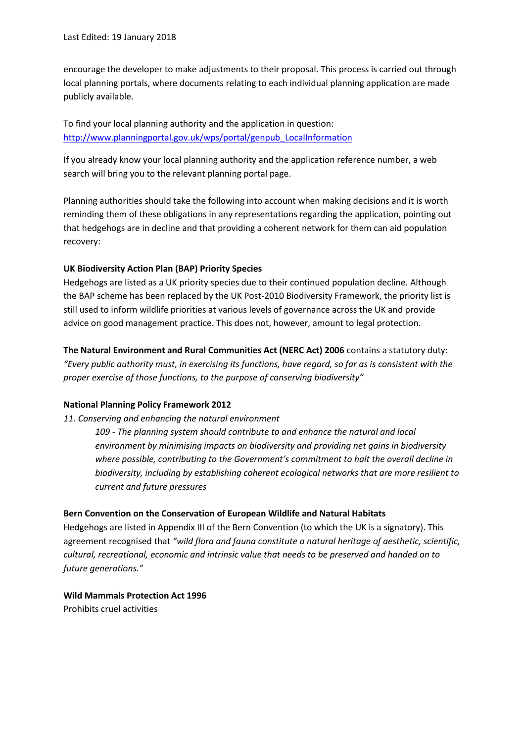encourage the developer to make adjustments to their proposal. This process is carried out through local planning portals, where documents relating to each individual planning application are made publicly available.

To find your local planning authority and the application in question: [http://www.planningportal.gov.uk/wps/portal/genpub\\_LocalInformation](http://www.planningportal.gov.uk/wps/portal/genpub_LocalInformation)

If you already know your local planning authority and the application reference number, a web search will bring you to the relevant planning portal page.

Planning authorities should take the following into account when making decisions and it is worth reminding them of these obligations in any representations regarding the application, pointing out that hedgehogs are in decline and that providing a coherent network for them can aid population recovery:

#### **UK Biodiversity Action Plan (BAP) Priority Species**

Hedgehogs are listed as a UK priority species due to their continued population decline. Although the BAP scheme has been replaced by the UK Post-2010 Biodiversity Framework, the priority list is still used to inform wildlife priorities at various levels of governance across the UK and provide advice on good management practice. This does not, however, amount to legal protection.

**The Natural Environment and Rural Communities Act (NERC Act) 2006** contains a statutory duty: *"Every public authority must, in exercising its functions, have regard, so far as is consistent with the proper exercise of those functions, to the purpose of conserving biodiversity"*

#### **National Planning Policy Framework 2012**

#### *11. Conserving and enhancing the natural environment*

*109 - The planning system should contribute to and enhance the natural and local environment by minimising impacts on biodiversity and providing net gains in biodiversity where possible, contributing to the Government's commitment to halt the overall decline in biodiversity, including by establishing coherent ecological networks that are more resilient to current and future pressures*

#### **Bern Convention on the Conservation of European Wildlife and Natural Habitats**

Hedgehogs are listed in Appendix III of the Bern Convention (to which the UK is a signatory). This agreement recognised that *"wild flora and fauna constitute a natural heritage of aesthetic, scientific, cultural, recreational, economic and intrinsic value that needs to be preserved and handed on to future generations."*

# **Wild Mammals Protection Act 1996**

Prohibits cruel activities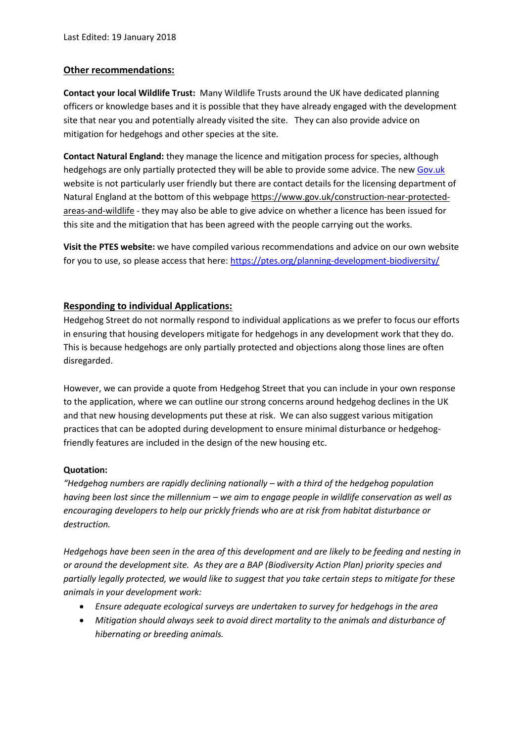#### **Other recommendations:**

**Contact your local Wildlife Trust:** Many Wildlife Trusts around the UK have dedicated planning officers or knowledge bases and it is possible that they have already engaged with the development site that near you and potentially already visited the site. They can also provide advice on mitigation for hedgehogs and other species at the site.

**Contact Natural England:** they manage the licence and mitigation process for species, although hedgehogs are only partially protected they will be able to provide some advice. The new [Gov.uk](http://gov.uk/) website is not particularly user friendly but there are contact details for the licensing department of Natural England at the bottom of this webpag[e https://www.gov.uk/construction-near-protected](https://www.gov.uk/construction-near-protected-areas-and-wildlife)[areas-and-wildlife](https://www.gov.uk/construction-near-protected-areas-and-wildlife) - they may also be able to give advice on whether a licence has been issued for this site and the mitigation that has been agreed with the people carrying out the works.

**Visit the PTES website:** we have compiled various recommendations and advice on our own website for you to use, so please access that here:<https://ptes.org/planning-development-biodiversity/>

#### **Responding to individual Applications:**

Hedgehog Street do not normally respond to individual applications as we prefer to focus our efforts in ensuring that housing developers mitigate for hedgehogs in any development work that they do. This is because hedgehogs are only partially protected and objections along those lines are often disregarded.

However, we can provide a quote from Hedgehog Street that you can include in your own response to the application, where we can outline our strong concerns around hedgehog declines in the UK and that new housing developments put these at risk. We can also suggest various mitigation practices that can be adopted during development to ensure minimal disturbance or hedgehogfriendly features are included in the design of the new housing etc.

#### **Quotation:**

*"Hedgehog numbers are rapidly declining nationally – with a third of the hedgehog population having been lost since the millennium – we aim to engage people in wildlife conservation as well as encouraging developers to help our prickly friends who are at risk from habitat disturbance or destruction.* 

*Hedgehogs have been seen in the area of this development and are likely to be feeding and nesting in or around the development site. As they are a BAP (Biodiversity Action Plan) priority species and partially legally protected, we would like to suggest that you take certain steps to mitigate for these animals in your development work:*

- *Ensure adequate ecological surveys are undertaken to survey for hedgehogs in the area*
- *Mitigation should always seek to avoid direct mortality to the animals and disturbance of hibernating or breeding animals.*